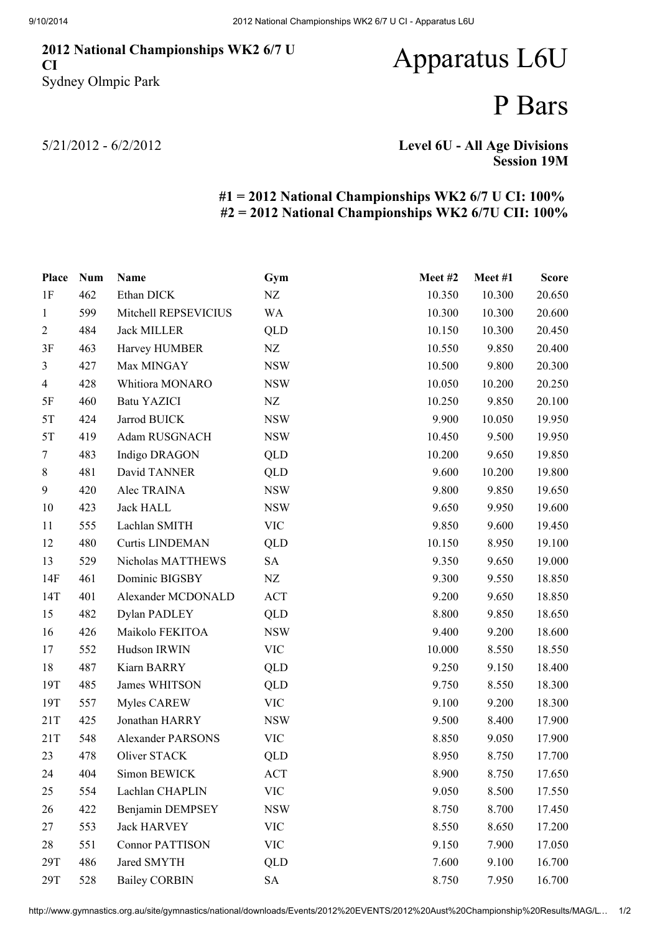### 2012 National Championships WK2 6/7 U CI Sydney Olmpic Park

# Apparatus L6U

## P Bars

5/21/2012 - 6/2/2012

#### Level 6U - All Age Divisions Session 19M

### #1 = 2012 National Championships WK2 6/7 U CI: 100% #2 = 2012 National Championships WK2 6/7U CII: 100%

| Place          | <b>Num</b> | Name                     | Gym        | Meet#2 | Meet #1 | <b>Score</b> |
|----------------|------------|--------------------------|------------|--------|---------|--------------|
| $1\mathrm{F}$  | 462        | Ethan DICK               | ${\rm NZ}$ | 10.350 | 10.300  | 20.650       |
| $\mathbf{1}$   | 599        | Mitchell REPSEVICIUS     | <b>WA</b>  | 10.300 | 10.300  | 20.600       |
| $\overline{2}$ | 484        | <b>Jack MILLER</b>       | QLD        | 10.150 | 10.300  | 20.450       |
| 3F             | 463        | Harvey HUMBER            | NZ         | 10.550 | 9.850   | 20.400       |
| $\mathfrak{Z}$ | 427        | Max MINGAY               | <b>NSW</b> | 10.500 | 9.800   | 20.300       |
| $\overline{4}$ | 428        | Whitiora MONARO          | <b>NSW</b> | 10.050 | 10.200  | 20.250       |
| $5F$           | 460        | <b>Batu YAZICI</b>       | ${\rm NZ}$ | 10.250 | 9.850   | 20.100       |
| 5T             | 424        | Jarrod BUICK             | <b>NSW</b> | 9.900  | 10.050  | 19.950       |
| $5T$           | 419        | Adam RUSGNACH            | <b>NSW</b> | 10.450 | 9.500   | 19.950       |
| $\tau$         | 483        | Indigo DRAGON            | QLD        | 10.200 | 9.650   | 19.850       |
| 8              | 481        | David TANNER             | QLD        | 9.600  | 10.200  | 19.800       |
| 9              | 420        | Alec TRAINA              | <b>NSW</b> | 9.800  | 9.850   | 19.650       |
| 10             | 423        | <b>Jack HALL</b>         | <b>NSW</b> | 9.650  | 9.950   | 19.600       |
| 11             | 555        | Lachlan SMITH            | <b>VIC</b> | 9.850  | 9.600   | 19.450       |
| 12             | 480        | <b>Curtis LINDEMAN</b>   | <b>QLD</b> | 10.150 | 8.950   | 19.100       |
| 13             | 529        | Nicholas MATTHEWS        | SA         | 9.350  | 9.650   | 19.000       |
| 14F            | 461        | Dominic BIGSBY           | NZ         | 9.300  | 9.550   | 18.850       |
| 14T            | 401        | Alexander MCDONALD       | <b>ACT</b> | 9.200  | 9.650   | 18.850       |
| 15             | 482        | Dylan PADLEY             | QLD        | 8.800  | 9.850   | 18.650       |
| 16             | 426        | Maikolo FEKITOA          | <b>NSW</b> | 9.400  | 9.200   | 18.600       |
| 17             | 552        | Hudson IRWIN             | <b>VIC</b> | 10.000 | 8.550   | 18.550       |
| 18             | 487        | Kiarn BARRY              | QLD        | 9.250  | 9.150   | 18.400       |
| 19T            | 485        | James WHITSON            | <b>QLD</b> | 9.750  | 8.550   | 18.300       |
| 19T            | 557        | Myles CAREW              | <b>VIC</b> | 9.100  | 9.200   | 18.300       |
| 21T            | 425        | Jonathan HARRY           | <b>NSW</b> | 9.500  | 8.400   | 17.900       |
| 21T            | 548        | <b>Alexander PARSONS</b> | <b>VIC</b> | 8.850  | 9.050   | 17.900       |
| 23             | 478        | Oliver STACK             | <b>QLD</b> | 8.950  | 8.750   | 17.700       |
| 24             | 404        | Simon BEWICK             | <b>ACT</b> | 8.900  | 8.750   | 17.650       |
| 25             | 554        | Lachlan CHAPLIN          | <b>VIC</b> | 9.050  | 8.500   | 17.550       |
| 26             | 422        | Benjamin DEMPSEY         | <b>NSW</b> | 8.750  | 8.700   | 17.450       |
| 27             | 553        | <b>Jack HARVEY</b>       | <b>VIC</b> | 8.550  | 8.650   | 17.200       |
| 28             | 551        | <b>Connor PATTISON</b>   | <b>VIC</b> | 9.150  | 7.900   | 17.050       |
| 29T            | 486        | Jared SMYTH              | QLD        | 7.600  | 9.100   | 16.700       |
| 29T            | 528        | <b>Bailey CORBIN</b>     | SA         | 8.750  | 7.950   | 16.700       |